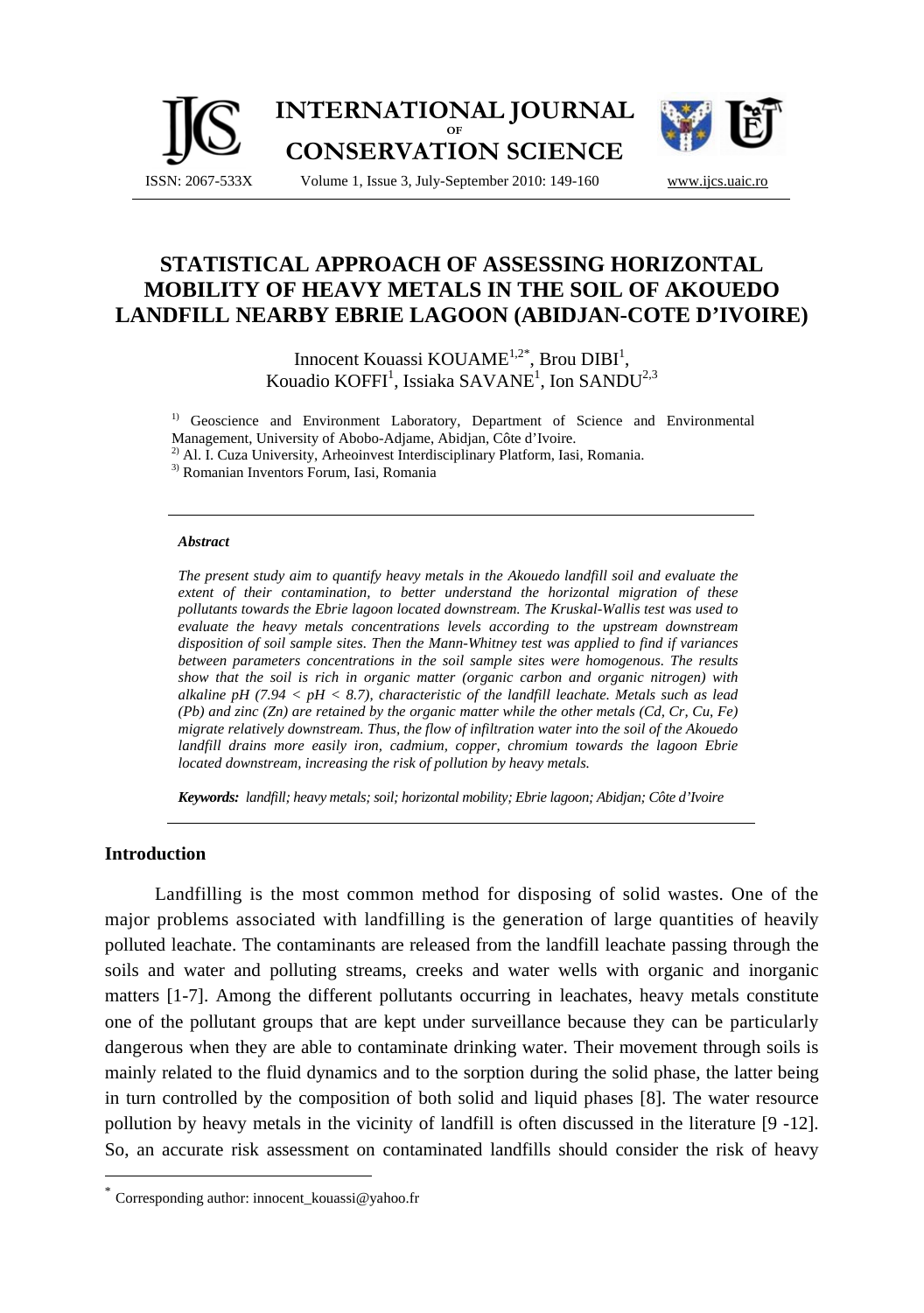

# **STATISTICAL APPROACH OF ASSESSING HORIZONTAL MOBILITY OF HEAVY METALS IN THE SOIL OF AKOUEDO LANDFILL NEARBY EBRIE LAGOON (ABIDJAN-COTE D'IVOIRE)**

Innocent Kouassi KOUAME<sup>1,2\*</sup>, Brou DIBI<sup>1</sup>, Kouadio KOFFI<sup>1</sup>, Issiaka SAVANE<sup>1</sup>, Ion SANDU<sup>2,3</sup>

<sup>1)</sup> Geoscience and Environment Laboratory, Department of Science and Environmental Management, University of Abobo-Adjame, Abidjan, Côte d'Ivoire.

<sup>2)</sup> Al. I. Cuza University, Arheoinvest Interdisciplinary Platform, Iasi, Romania. <sup>3)</sup> Romanian Inventors Forum, Iasi, Romania

#### *Abstract*

*The present study aim to quantify heavy metals in the Akouedo landfill soil and evaluate the extent of their contamination, to better understand the horizontal migration of these pollutants towards the Ebrie lagoon located downstream. The Kruskal-Wallis test was used to evaluate the heavy metals concentrations levels according to the upstream downstream disposition of soil sample sites. Then the Mann-Whitney test was applied to find if variances between parameters concentrations in the soil sample sites were homogenous. The results show that the soil is rich in organic matter (organic carbon and organic nitrogen) with alkaline pH (7.94 < pH < 8.7), characteristic of the landfill leachate. Metals such as lead (Pb) and zinc (Zn) are retained by the organic matter while the other metals (Cd, Cr, Cu, Fe) migrate relatively downstream. Thus, the flow of infiltration water into the soil of the Akouedo landfill drains more easily iron, cadmium, copper, chromium towards the lagoon Ebrie located downstream, increasing the risk of pollution by heavy metals.* 

*Keywords: landfill; heavy metals; soil; horizontal mobility; Ebrie lagoon; Abidjan; Côte d'Ivoire* 

### **Introduction**

 $\overline{a}$ 

Landfilling is the most common method for disposing of solid wastes. One of the major problems associated with landfilling is the generation of large quantities of heavily polluted leachate. The contaminants are released from the landfill leachate passing through the soils and water and polluting streams, creeks and water wells with organic and inorganic matters [1-7]. Among the different pollutants occurring in leachates, heavy metals constitute one of the pollutant groups that are kept under surveillance because they can be particularly dangerous when they are able to contaminate drinking water. Their movement through soils is mainly related to the fluid dynamics and to the sorption during the solid phase, the latter being in turn controlled by the composition of both solid and liquid phases [8]. The water resource pollution by heavy metals in the vicinity of landfill is often discussed in the literature [9 -12]. So, an accurate risk assessment on contaminated landfills should consider the risk of heavy

Corresponding author: innocent\_kouassi@yahoo.fr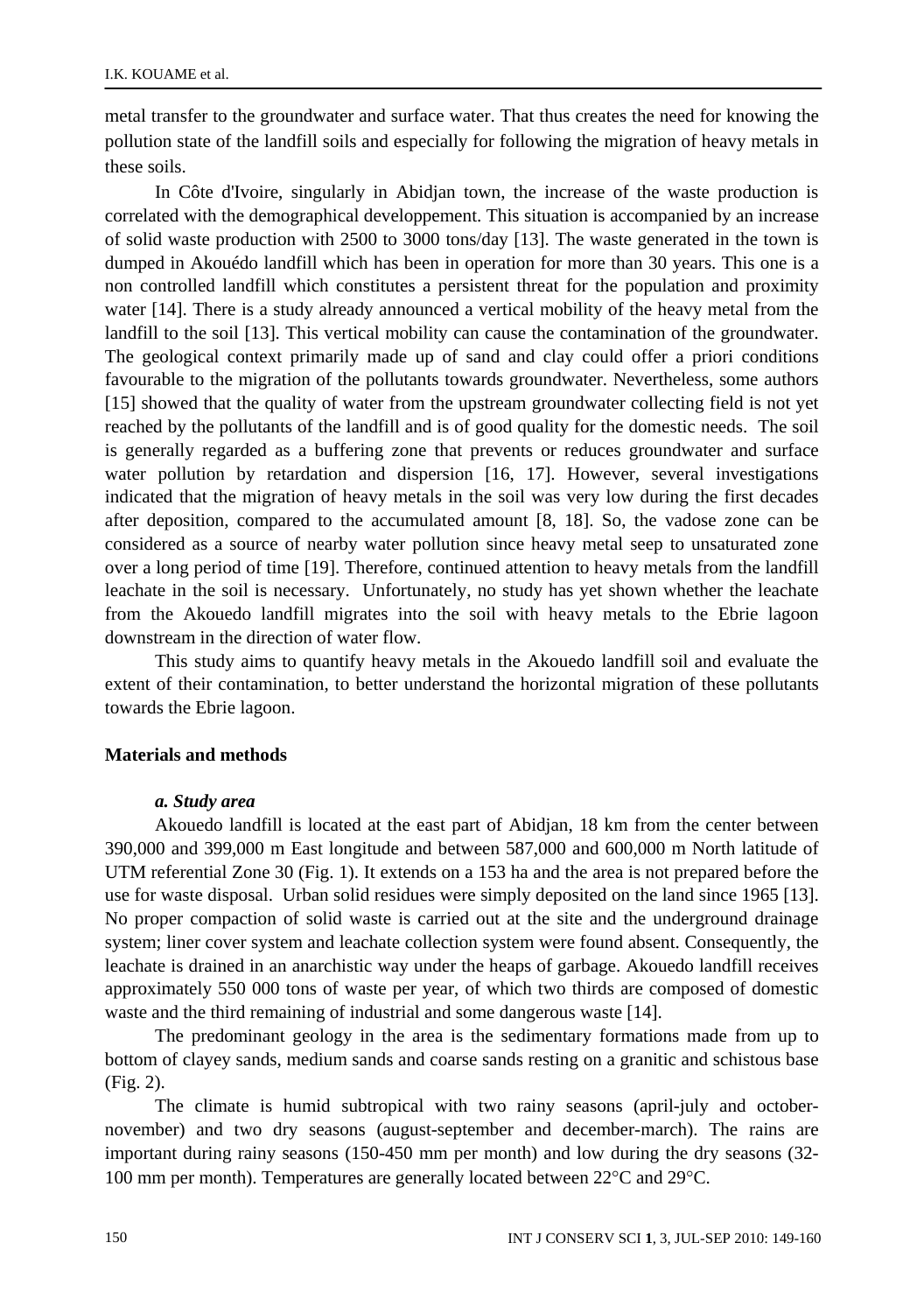metal transfer to the groundwater and surface water. That thus creates the need for knowing the pollution state of the landfill soils and especially for following the migration of heavy metals in these soils.

In Côte d'Ivoire, singularly in Abidjan town, the increase of the waste production is correlated with the demographical developpement. This situation is accompanied by an increase of solid waste production with 2500 to 3000 tons/day [13]. The waste generated in the town is dumped in Akouédo landfill which has been in operation for more than 30 years. This one is a non controlled landfill which constitutes a persistent threat for the population and proximity water [14]. There is a study already announced a vertical mobility of the heavy metal from the landfill to the soil [13]. This vertical mobility can cause the contamination of the groundwater. The geological context primarily made up of sand and clay could offer a priori conditions favourable to the migration of the pollutants towards groundwater. Nevertheless, some authors [15] showed that the quality of water from the upstream groundwater collecting field is not yet reached by the pollutants of the landfill and is of good quality for the domestic needs. The soil is generally regarded as a buffering zone that prevents or reduces groundwater and surface water pollution by retardation and dispersion [16, 17]. However, several investigations indicated that the migration of heavy metals in the soil was very low during the first decades after deposition, compared to the accumulated amount [8, 18]. So, the vadose zone can be considered as a source of nearby water pollution since heavy metal seep to unsaturated zone over a long period of time [19]. Therefore, continued attention to heavy metals from the landfill leachate in the soil is necessary. Unfortunately, no study has yet shown whether the leachate from the Akouedo landfill migrates into the soil with heavy metals to the Ebrie lagoon downstream in the direction of water flow.

This study aims to quantify heavy metals in the Akouedo landfill soil and evaluate the extent of their contamination, to better understand the horizontal migration of these pollutants towards the Ebrie lagoon.

## **Materials and methods**

#### *a. Study area*

Akouedo landfill is located at the east part of Abidjan, 18 km from the center between 390,000 and 399,000 m East longitude and between 587,000 and 600,000 m North latitude of UTM referential Zone 30 (Fig. 1). It extends on a 153 ha and the area is not prepared before the use for waste disposal. Urban solid residues were simply deposited on the land since 1965 [13]. No proper compaction of solid waste is carried out at the site and the underground drainage system; liner cover system and leachate collection system were found absent. Consequently, the leachate is drained in an anarchistic way under the heaps of garbage. Akouedo landfill receives approximately 550 000 tons of waste per year, of which two thirds are composed of domestic waste and the third remaining of industrial and some dangerous waste [14].

The predominant geology in the area is the sedimentary formations made from up to bottom of clayey sands, medium sands and coarse sands resting on a granitic and schistous base (Fig. 2).

The climate is humid subtropical with two rainy seasons (april-july and octobernovember) and two dry seasons (august-september and december-march). The rains are important during rainy seasons (150-450 mm per month) and low during the dry seasons (32- 100 mm per month). Temperatures are generally located between 22°C and 29°C.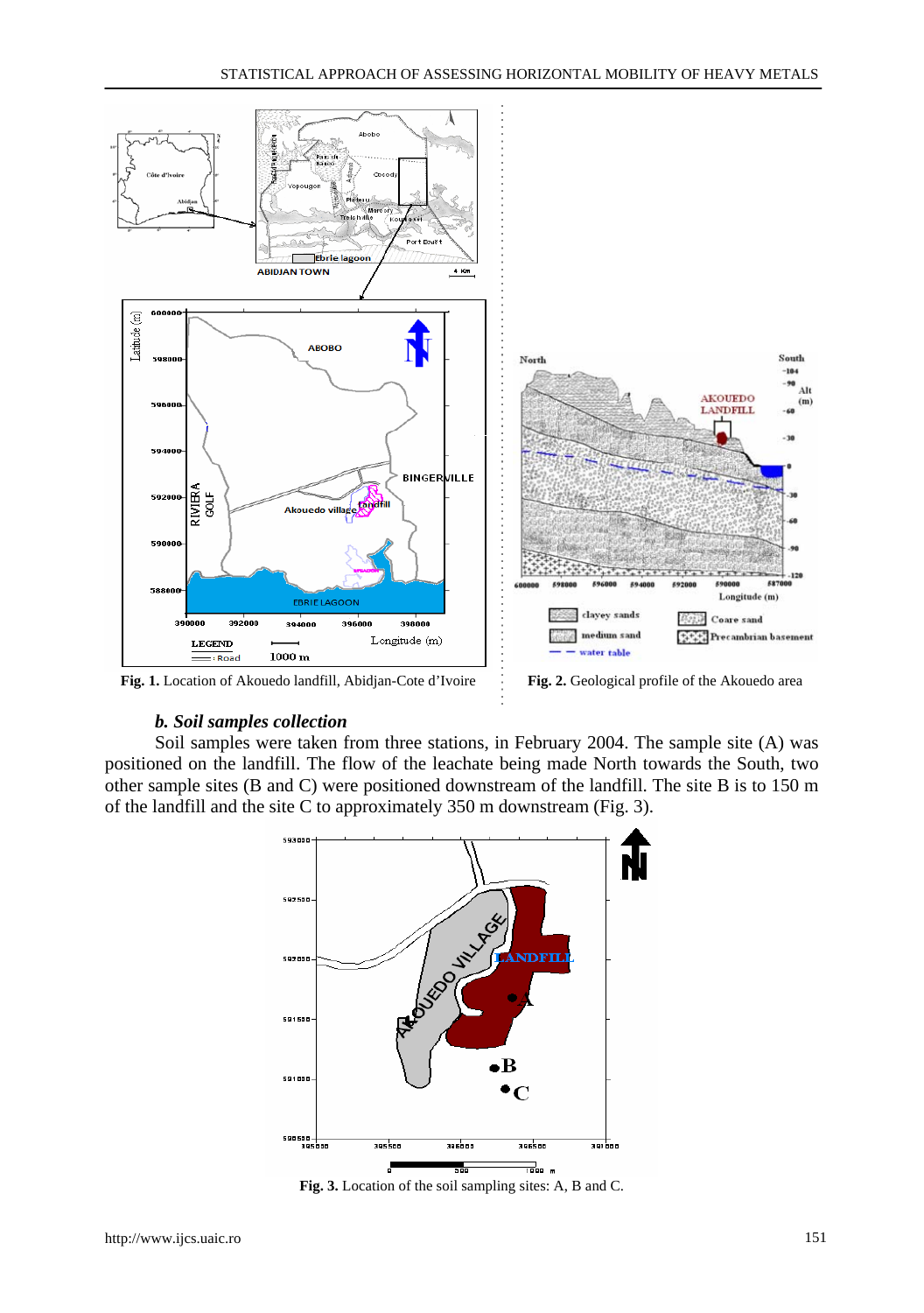

**Fig. 1.** Location of Akouedo landfill, Abidjan-Cote d'Ivoire **Fig. 2.** Geological profile of the Akouedo area

#### *b. Soil samples collection*

Soil samples were taken from three stations, in February 2004. The sample site (A) was positioned on the landfill. The flow of the leachate being made North towards the South, two other sample sites (B and C) were positioned downstream of the landfill. The site B is to 150 m of the landfill and the site C to approximately 350 m downstream (Fig. 3).



**Fig. 3.** Location of the soil sampling sites: A, B and C.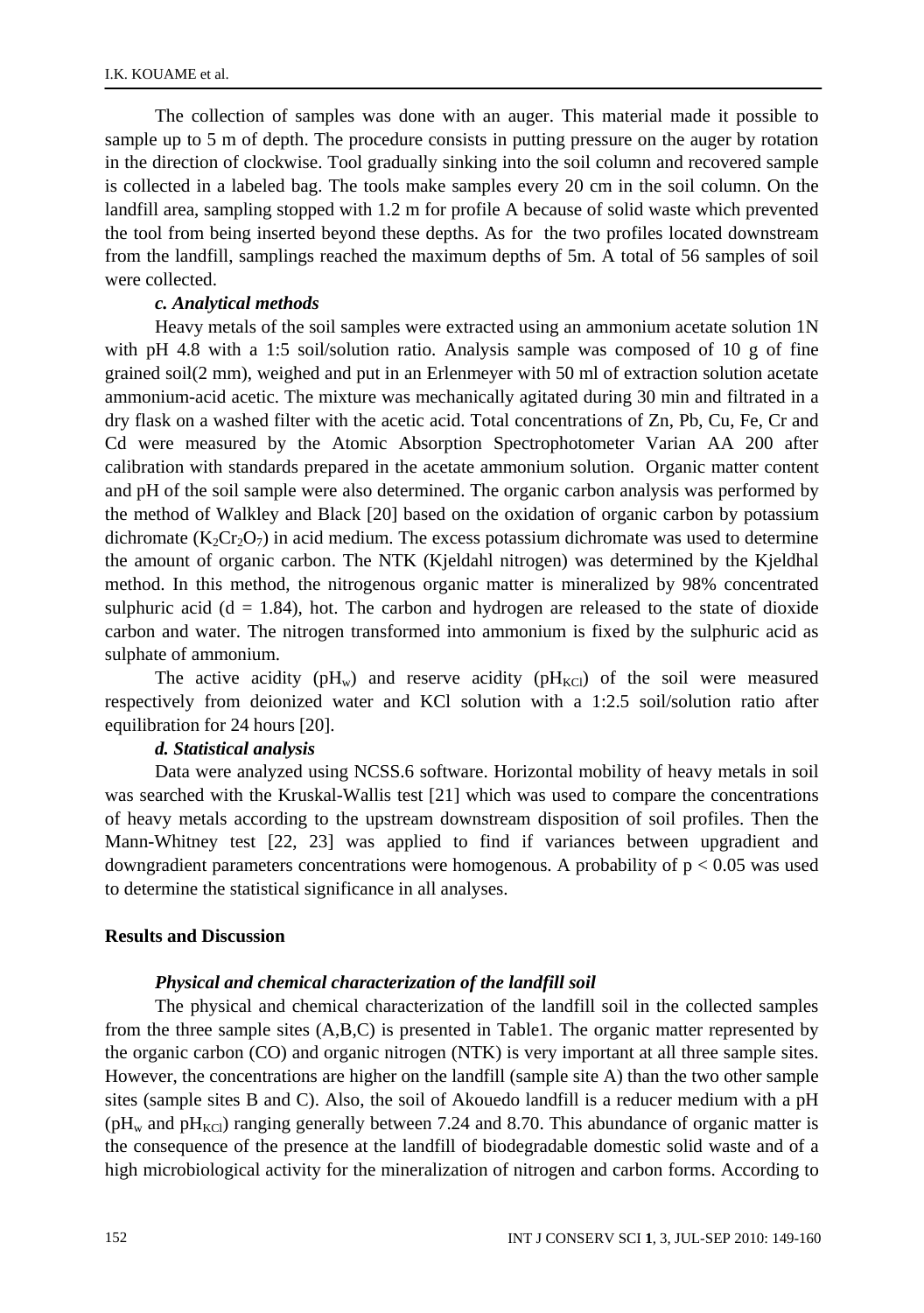The collection of samples was done with an auger. This material made it possible to sample up to 5 m of depth. The procedure consists in putting pressure on the auger by rotation in the direction of clockwise. Tool gradually sinking into the soil column and recovered sample is collected in a labeled bag. The tools make samples every 20 cm in the soil column. On the landfill area, sampling stopped with 1.2 m for profile A because of solid waste which prevented the tool from being inserted beyond these depths. As for the two profiles located downstream from the landfill, samplings reached the maximum depths of 5m. A total of 56 samples of soil were collected.

# *c. Analytical methods*

Heavy metals of the soil samples were extracted using an ammonium acetate solution 1N with pH 4.8 with a 1:5 soil/solution ratio. Analysis sample was composed of 10 g of fine grained soil(2 mm), weighed and put in an Erlenmeyer with 50 ml of extraction solution acetate ammonium-acid acetic. The mixture was mechanically agitated during 30 min and filtrated in a dry flask on a washed filter with the acetic acid. Total concentrations of Zn, Pb, Cu, Fe, Cr and Cd were measured by the Atomic Absorption Spectrophotometer Varian AA 200 after calibration with standards prepared in the acetate ammonium solution. Organic matter content and pH of the soil sample were also determined. The organic carbon analysis was performed by the method of Walkley and Black [20] based on the oxidation of organic carbon by potassium dichromate  $(K_2Cr_2O_7)$  in acid medium. The excess potassium dichromate was used to determine the amount of organic carbon. The NTK (Kjeldahl nitrogen) was determined by the Kjeldhal method. In this method, the nitrogenous organic matter is mineralized by 98% concentrated sulphuric acid ( $d = 1.84$ ), hot. The carbon and hydrogen are released to the state of dioxide carbon and water. The nitrogen transformed into ammonium is fixed by the sulphuric acid as sulphate of ammonium.

The active acidity ( $pH_w$ ) and reserve acidity ( $pH_{KC}$ ) of the soil were measured respectively from deionized water and KCl solution with a 1:2.5 soil/solution ratio after equilibration for 24 hours [20].

#### *d. Statistical analysis*

Data were analyzed using NCSS.6 software. Horizontal mobility of heavy metals in soil was searched with the Kruskal-Wallis test [21] which was used to compare the concentrations of heavy metals according to the upstream downstream disposition of soil profiles. Then the Mann-Whitney test [22, 23] was applied to find if variances between upgradient and downgradient parameters concentrations were homogenous. A probability of  $p < 0.05$  was used to determine the statistical significance in all analyses.

### **Results and Discussion**

# *Physical and chemical characterization of the landfill soil*

The physical and chemical characterization of the landfill soil in the collected samples from the three sample sites (A,B,C) is presented in Table1. The organic matter represented by the organic carbon (CO) and organic nitrogen (NTK) is very important at all three sample sites. However, the concentrations are higher on the landfill (sample site A) than the two other sample sites (sample sites B and C). Also, the soil of Akouedo landfill is a reducer medium with a pH ( $pH<sub>w</sub>$  and  $pH<sub>KCl</sub>$ ) ranging generally between 7.24 and 8.70. This abundance of organic matter is the consequence of the presence at the landfill of biodegradable domestic solid waste and of a high microbiological activity for the mineralization of nitrogen and carbon forms. According to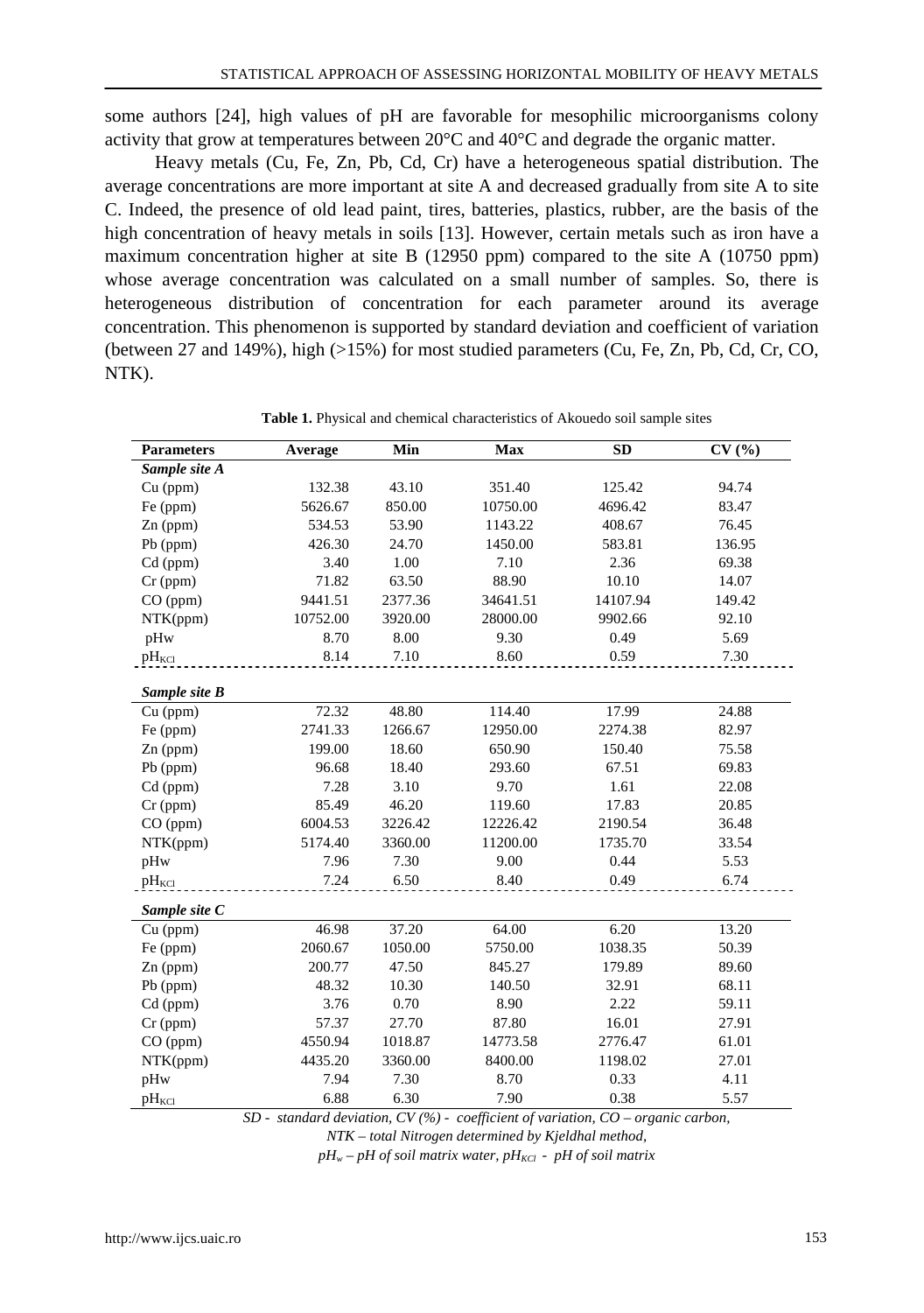some authors [24], high values of pH are favorable for mesophilic microorganisms colony activity that grow at temperatures between 20°C and 40°C and degrade the organic matter.

Heavy metals (Cu, Fe, Zn, Pb, Cd, Cr) have a heterogeneous spatial distribution. The average concentrations are more important at site A and decreased gradually from site A to site C. Indeed, the presence of old lead paint, tires, batteries, plastics, rubber, are the basis of the high concentration of heavy metals in soils [13]. However, certain metals such as iron have a maximum concentration higher at site B (12950 ppm) compared to the site A (10750 ppm) whose average concentration was calculated on a small number of samples. So, there is heterogeneous distribution of concentration for each parameter around its average concentration. This phenomenon is supported by standard deviation and coefficient of variation (between 27 and 149%), high (>15%) for most studied parameters (Cu, Fe, Zn, Pb, Cd, Cr, CO, NTK).

| <b>Parameters</b>      | Average  | Min     | Max      | <b>SD</b> | CV(%)  |
|------------------------|----------|---------|----------|-----------|--------|
| Sample site A          |          |         |          |           |        |
| Cu (ppm)               | 132.38   | 43.10   | 351.40   | 125.42    | 94.74  |
| Fe (ppm)               | 5626.67  | 850.00  | 10750.00 | 4696.42   | 83.47  |
| Zn (ppm)               | 534.53   | 53.90   | 1143.22  | 408.67    | 76.45  |
| Pb (ppm)               | 426.30   | 24.70   | 1450.00  | 583.81    | 136.95 |
| $Cd$ (ppm)             | 3.40     | 1.00    | 7.10     | 2.36      | 69.38  |
| $Cr$ (ppm)             | 71.82    | 63.50   | 88.90    | 10.10     | 14.07  |
| CO (ppm)               | 9441.51  | 2377.36 | 34641.51 | 14107.94  | 149.42 |
| NTK(ppm)               | 10752.00 | 3920.00 | 28000.00 | 9902.66   | 92.10  |
| pHw                    | 8.70     | 8.00    | 9.30     | 0.49      | 5.69   |
| $pH_{\text{KCl}}$      | 8.14     | 7.10    | 8.60     | 0.59      | 7.30   |
| Sample site B          |          |         |          |           |        |
| Cu (ppm)               | 72.32    | 48.80   | 114.40   | 17.99     | 24.88  |
| Fe (ppm)               | 2741.33  | 1266.67 | 12950.00 | 2274.38   | 82.97  |
| $Zn$ (ppm)             | 199.00   | 18.60   | 650.90   | 150.40    | 75.58  |
| $Pb$ (ppm)             | 96.68    | 18.40   | 293.60   | 67.51     | 69.83  |
| Cd (ppm)               | 7.28     | 3.10    | 9.70     | 1.61      | 22.08  |
| $Cr$ (ppm)             | 85.49    | 46.20   | 119.60   | 17.83     | 20.85  |
| CO (ppm)               | 6004.53  | 3226.42 | 12226.42 | 2190.54   | 36.48  |
| NTK(ppm)               | 5174.40  | 3360.00 | 11200.00 | 1735.70   | 33.54  |
| pHw                    | 7.96     | 7.30    | 9.00     | 0.44      | 5.53   |
| $pH_{\text{KCl}}$      | 7.24     | 6.50    | 8.40     | 0.49      | 6.74   |
| Sample site C          |          |         |          |           |        |
| $\overline{C}$ u (ppm) | 46.98    | 37.20   | 64.00    | 6.20      | 13.20  |
| Fe (ppm)               | 2060.67  | 1050.00 | 5750.00  | 1038.35   | 50.39  |
| $Zn$ (ppm)             | 200.77   | 47.50   | 845.27   | 179.89    | 89.60  |
| Pb (ppm)               | 48.32    | 10.30   | 140.50   | 32.91     | 68.11  |
| $Cd$ (ppm)             | 3.76     | 0.70    | 8.90     | 2.22      | 59.11  |
| $Cr$ (ppm)             | 57.37    | 27.70   | 87.80    | 16.01     | 27.91  |
| CO (ppm)               | 4550.94  | 1018.87 | 14773.58 | 2776.47   | 61.01  |
| NTK(ppm)               | 4435.20  | 3360.00 | 8400.00  | 1198.02   | 27.01  |
| pHw                    | 7.94     | 7.30    | 8.70     | 0.33      | 4.11   |
| $pH_{\text{KCl}}$      | 6.88     | 6.30    | 7.90     | 0.38      | 5.57   |
|                        |          |         |          |           |        |

**Table 1.** Physical and chemical characteristics of Akouedo soil sample sites

*SD - standard deviation, CV (%) - coefficient of variation, CO – organic carbon,* 

*NTK – total Nitrogen determined by Kjeldhal method,* 

 $pH_w - pH$  of soil matrix water,  $pH_{KC}$  -  $pH$  of soil matrix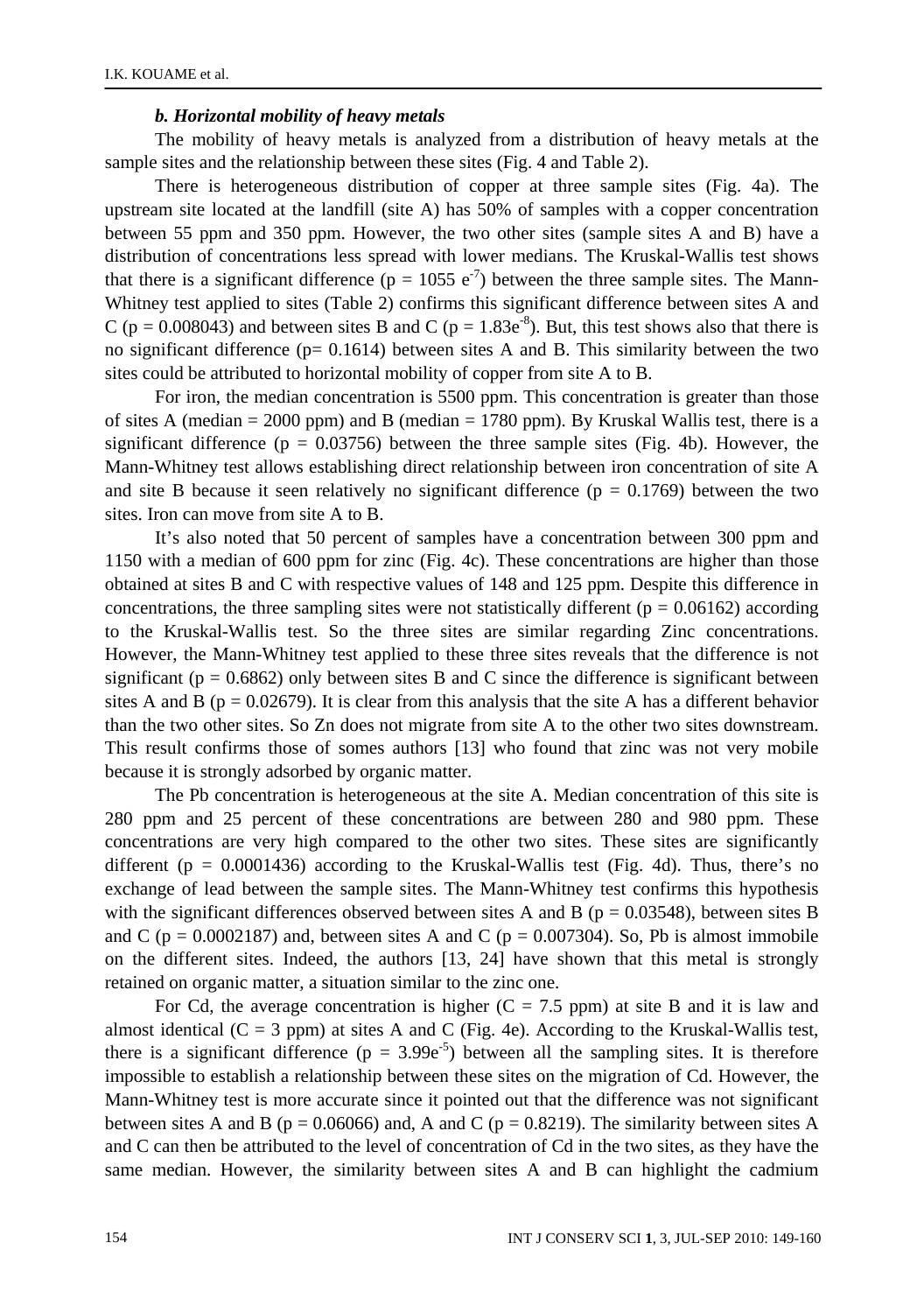### *b. Horizontal mobility of heavy metals*

The mobility of heavy metals is analyzed from a distribution of heavy metals at the sample sites and the relationship between these sites (Fig. 4 and Table 2).

There is heterogeneous distribution of copper at three sample sites (Fig. 4a). The upstream site located at the landfill (site A) has 50% of samples with a copper concentration between 55 ppm and 350 ppm. However, the two other sites (sample sites A and B) have a distribution of concentrations less spread with lower medians. The Kruskal-Wallis test shows that there is a significant difference ( $p = 1055 e^{-7}$ ) between the three sample sites. The Mann-Whitney test applied to sites (Table 2) confirms this significant difference between sites A and C ( $p = 0.008043$ ) and between sites B and C ( $p = 1.83e^{-8}$ ). But, this test shows also that there is no significant difference ( $p= 0.1614$ ) between sites A and B. This similarity between the two sites could be attributed to horizontal mobility of copper from site A to B.

For iron, the median concentration is 5500 ppm. This concentration is greater than those of sites A (median = 2000 ppm) and B (median = 1780 ppm). By Kruskal Wallis test, there is a significant difference ( $p = 0.03756$ ) between the three sample sites (Fig. 4b). However, the Mann-Whitney test allows establishing direct relationship between iron concentration of site A and site B because it seen relatively no significant difference  $(p = 0.1769)$  between the two sites. Iron can move from site A to B.

It's also noted that 50 percent of samples have a concentration between 300 ppm and 1150 with a median of 600 ppm for zinc (Fig. 4c). These concentrations are higher than those obtained at sites B and C with respective values of 148 and 125 ppm. Despite this difference in concentrations, the three sampling sites were not statistically different ( $p = 0.06162$ ) according to the Kruskal-Wallis test. So the three sites are similar regarding Zinc concentrations. However, the Mann-Whitney test applied to these three sites reveals that the difference is not significant ( $p = 0.6862$ ) only between sites B and C since the difference is significant between sites A and B ( $p = 0.02679$ ). It is clear from this analysis that the site A has a different behavior than the two other sites. So Zn does not migrate from site A to the other two sites downstream. This result confirms those of somes authors [13] who found that zinc was not very mobile because it is strongly adsorbed by organic matter.

The Pb concentration is heterogeneous at the site A. Median concentration of this site is 280 ppm and 25 percent of these concentrations are between 280 and 980 ppm. These concentrations are very high compared to the other two sites. These sites are significantly different ( $p = 0.0001436$ ) according to the Kruskal-Wallis test (Fig. 4d). Thus, there's no exchange of lead between the sample sites. The Mann-Whitney test confirms this hypothesis with the significant differences observed between sites A and B ( $p = 0.03548$ ), between sites B and C ( $p = 0.0002187$ ) and, between sites A and C ( $p = 0.007304$ ). So, Pb is almost immobile on the different sites. Indeed, the authors [13, 24] have shown that this metal is strongly retained on organic matter, a situation similar to the zinc one.

For Cd, the average concentration is higher  $(C = 7.5$  ppm) at site B and it is law and almost identical  $(C = 3$  ppm) at sites A and C (Fig. 4e). According to the Kruskal-Wallis test, there is a significant difference ( $p = 3.99e^{-5}$ ) between all the sampling sites. It is therefore impossible to establish a relationship between these sites on the migration of Cd. However, the Mann-Whitney test is more accurate since it pointed out that the difference was not significant between sites A and B ( $p = 0.06066$ ) and, A and C ( $p = 0.8219$ ). The similarity between sites A and C can then be attributed to the level of concentration of Cd in the two sites, as they have the same median. However, the similarity between sites A and B can highlight the cadmium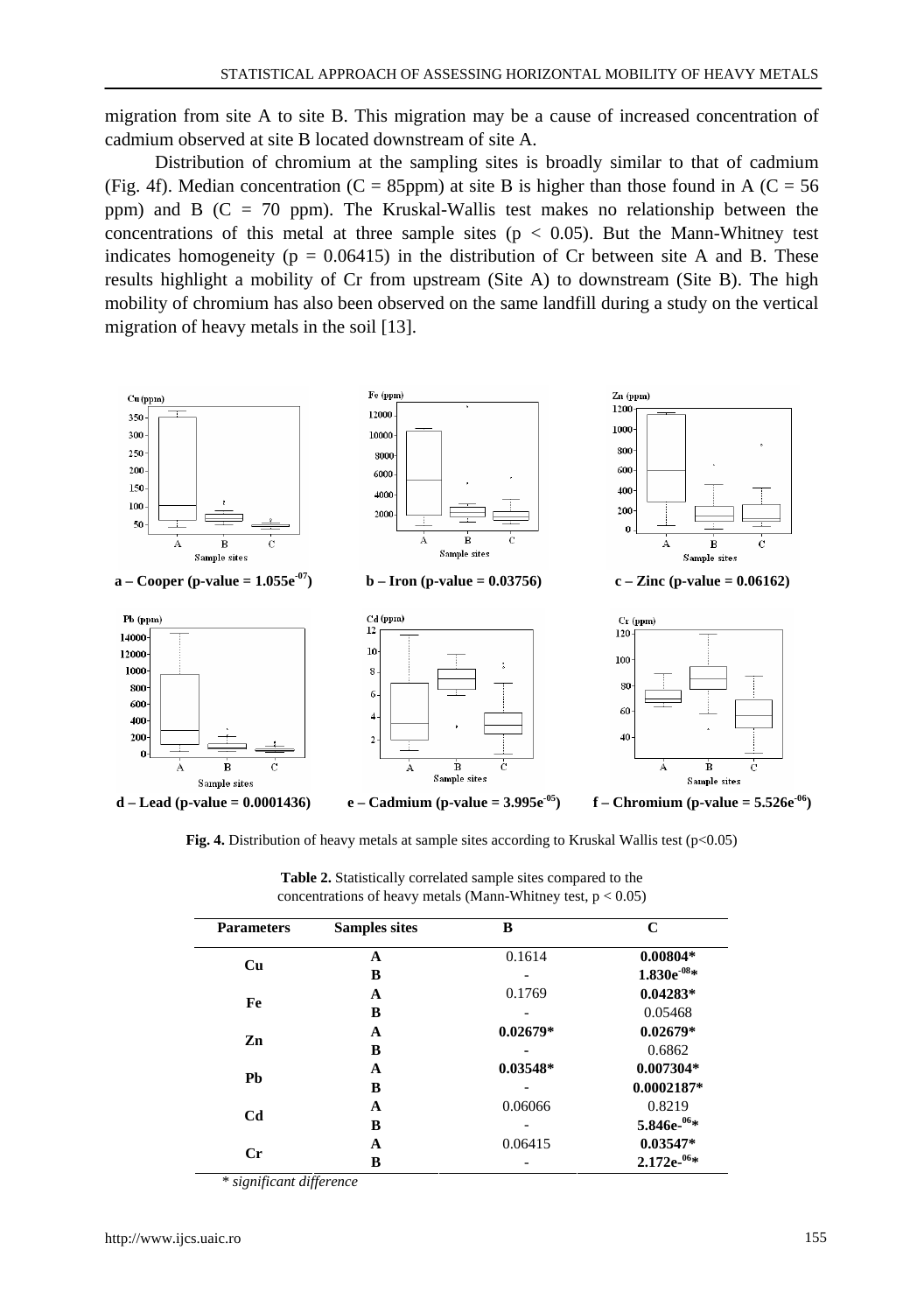migration from site A to site B. This migration may be a cause of increased concentration of cadmium observed at site B located downstream of site A.

Distribution of chromium at the sampling sites is broadly similar to that of cadmium (Fig. 4f). Median concentration (C = 85ppm) at site B is higher than those found in A (C = 56 ppm) and B (C = 70 ppm). The Kruskal-Wallis test makes no relationship between the concentrations of this metal at three sample sites ( $p < 0.05$ ). But the Mann-Whitney test indicates homogeneity ( $p = 0.06415$ ) in the distribution of Cr between site A and B. These results highlight a mobility of Cr from upstream (Site A) to downstream (Site B). The high mobility of chromium has also been observed on the same landfill during a study on the vertical migration of heavy metals in the soil [13].



**Fig. 4.** Distribution of heavy metals at sample sites according to Kruskal Wallis test ( $p < 0.05$ )

| <b>Parameters</b> | <b>Samples sites</b> | B                  | C               |
|-------------------|----------------------|--------------------|-----------------|
| Cu                | A                    | 0.1614             | $0.00804*$      |
|                   | B                    |                    | $1.830e^{-08}*$ |
| Fe                | A                    | 0.1769             | $0.04283*$      |
|                   | B                    |                    | 0.05468         |
| Zn                | A                    | $0.02679*$         | $0.02679*$      |
|                   | в                    | 0.6862             |                 |
| Pb                | A                    | $0.03548*$         | $0.007304*$     |
|                   | B                    | 0.06066<br>0.06415 | $0.0002187*$    |
| Cd                | A                    |                    | 0.8219          |
|                   | B                    |                    | $5.846e^{-06}*$ |
| $C_{r}$           | A                    |                    | $0.03547*$      |
|                   | в                    |                    | $2.172e^{-06}*$ |

**Table 2.** Statistically correlated sample sites compared to the concentrations of heavy metals (Mann-Whitney test,  $p < 0.05$ )

*\* significant difference*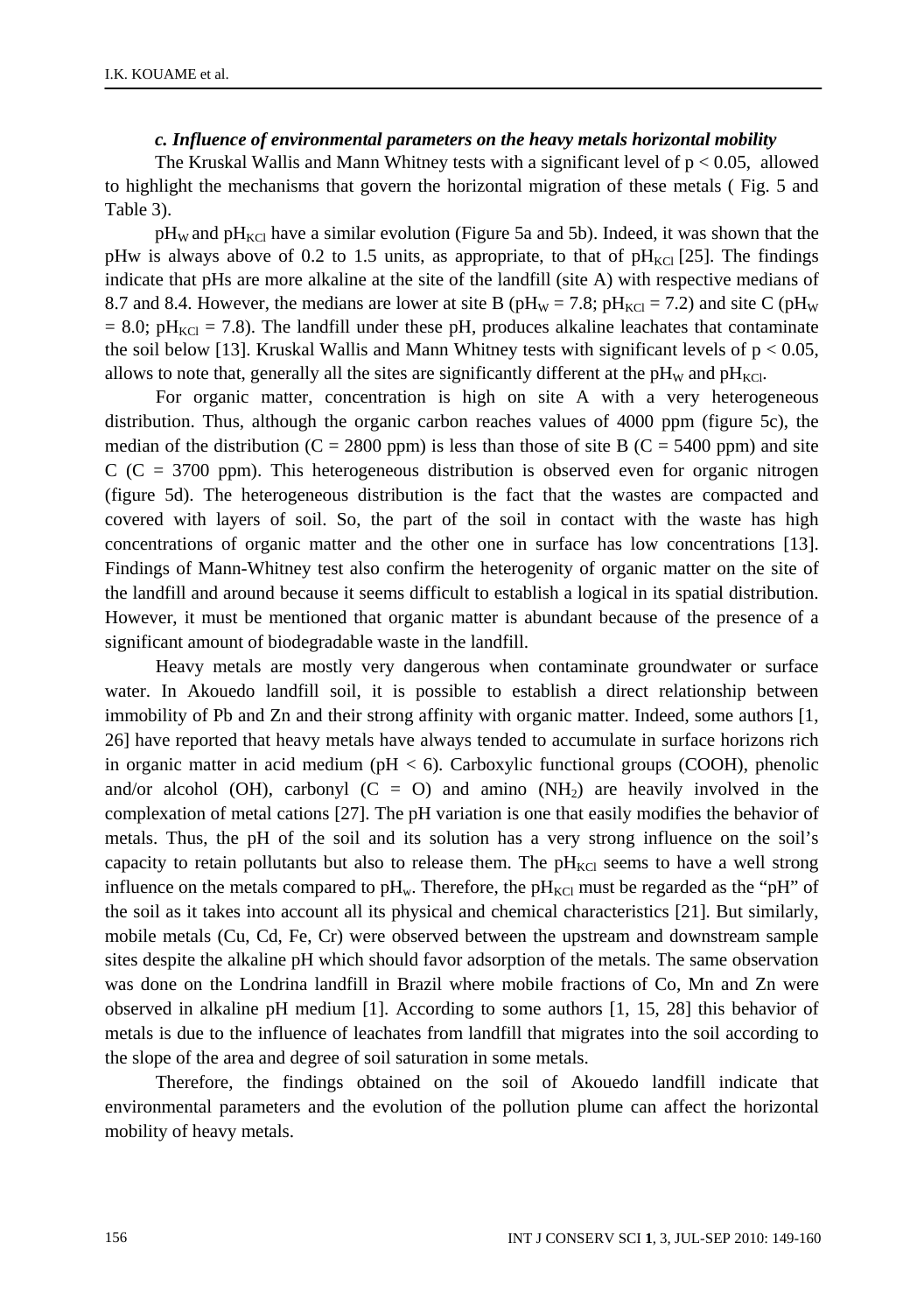#### *c. Influence of environmental parameters on the heavy metals horizontal mobility*

The Kruskal Wallis and Mann Whitney tests with a significant level of  $p < 0.05$ , allowed to highlight the mechanisms that govern the horizontal migration of these metals ( Fig. 5 and Table 3).

 $pH_W$  and  $pH_{KC}$  have a similar evolution (Figure 5a and 5b). Indeed, it was shown that the pHw is always above of 0.2 to 1.5 units, as appropriate, to that of  $pH_{\text{KCl}}$  [25]. The findings indicate that pHs are more alkaline at the site of the landfill (site A) with respective medians of 8.7 and 8.4. However, the medians are lower at site B ( $pH_W = 7.8$ ;  $pH_{KCl} = 7.2$ ) and site C ( $pH_W$  $= 8.0$ ; pH<sub>KCl</sub> = 7.8). The landfill under these pH, produces alkaline leachates that contaminate the soil below [13]. Kruskal Wallis and Mann Whitney tests with significant levels of  $p < 0.05$ , allows to note that, generally all the sites are significantly different at the pH<sub>W</sub> and pH<sub>KCl</sub>.

For organic matter, concentration is high on site A with a very heterogeneous distribution. Thus, although the organic carbon reaches values of 4000 ppm (figure 5c), the median of the distribution (C = 2800 ppm) is less than those of site B (C = 5400 ppm) and site  $C$  ( $C = 3700$  ppm). This heterogeneous distribution is observed even for organic nitrogen (figure 5d). The heterogeneous distribution is the fact that the wastes are compacted and covered with layers of soil. So, the part of the soil in contact with the waste has high concentrations of organic matter and the other one in surface has low concentrations [13]. Findings of Mann-Whitney test also confirm the heterogenity of organic matter on the site of the landfill and around because it seems difficult to establish a logical in its spatial distribution. However, it must be mentioned that organic matter is abundant because of the presence of a significant amount of biodegradable waste in the landfill.

Heavy metals are mostly very dangerous when contaminate groundwater or surface water. In Akouedo landfill soil, it is possible to establish a direct relationship between immobility of Pb and Zn and their strong affinity with organic matter. Indeed, some authors [1, 26] have reported that heavy metals have always tended to accumulate in surface horizons rich in organic matter in acid medium ( $pH < 6$ ). Carboxylic functional groups (COOH), phenolic and/or alcohol (OH), carbonyl  $(C = 0)$  and amino  $(NH<sub>2</sub>)$  are heavily involved in the complexation of metal cations [27]. The pH variation is one that easily modifies the behavior of metals. Thus, the pH of the soil and its solution has a very strong influence on the soil's capacity to retain pollutants but also to release them. The  $pH_{\text{KCI}}$  seems to have a well strong influence on the metals compared to pH<sub>w</sub>. Therefore, the pH<sub>KCl</sub> must be regarded as the "pH" of the soil as it takes into account all its physical and chemical characteristics [21]. But similarly, mobile metals (Cu, Cd, Fe, Cr) were observed between the upstream and downstream sample sites despite the alkaline pH which should favor adsorption of the metals. The same observation was done on the Londrina landfill in Brazil where mobile fractions of Co, Mn and Zn were observed in alkaline pH medium [1]. According to some authors [1, 15, 28] this behavior of metals is due to the influence of leachates from landfill that migrates into the soil according to the slope of the area and degree of soil saturation in some metals.

Therefore, the findings obtained on the soil of Akouedo landfill indicate that environmental parameters and the evolution of the pollution plume can affect the horizontal mobility of heavy metals.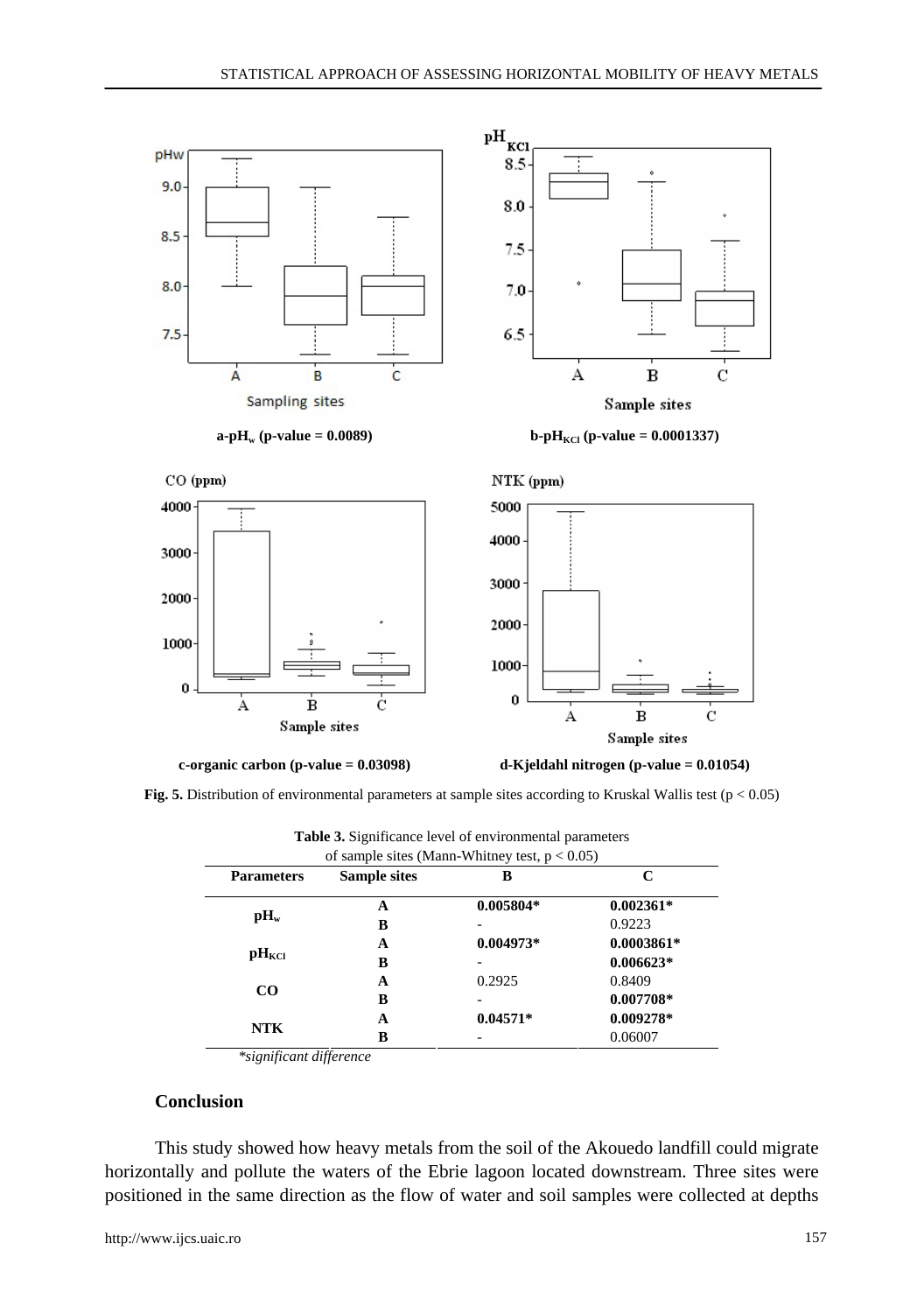



**Fig. 5.** Distribution of environmental parameters at sample sites according to Kruskal Wallis test (p < 0.05)

| of sample sites (Mann-Whitney test, $p < 0.05$ ) |                     |             |              |  |  |  |  |
|--------------------------------------------------|---------------------|-------------|--------------|--|--|--|--|
| <b>Parameters</b>                                | <b>Sample sites</b> | B           | C            |  |  |  |  |
| $\mathbf{p}$ H <sub>w</sub>                      | A                   | $0.005804*$ | $0.002361*$  |  |  |  |  |
|                                                  | B                   |             | 0.9223       |  |  |  |  |
| $\mathbf{p}$ $\mathbf{H}_{\mathrm{KCI}}$         | A                   | $0.004973*$ | $0.0003861*$ |  |  |  |  |
|                                                  | B                   |             | $0.006623*$  |  |  |  |  |
| $\bf CO$                                         | A                   | 0.2925      | 0.8409       |  |  |  |  |
|                                                  | B                   |             | $0.007708*$  |  |  |  |  |
| <b>NTK</b>                                       | A                   | $0.04571*$  | $0.009278*$  |  |  |  |  |
|                                                  | R                   |             | 0.06007      |  |  |  |  |

**Table 3.** Significance level of environmental parameters

*\*significant difference* 

# **Conclusion**

This study showed how heavy metals from the soil of the Akouedo landfill could migrate horizontally and pollute the waters of the Ebrie lagoon located downstream. Three sites were positioned in the same direction as the flow of water and soil samples were collected at depths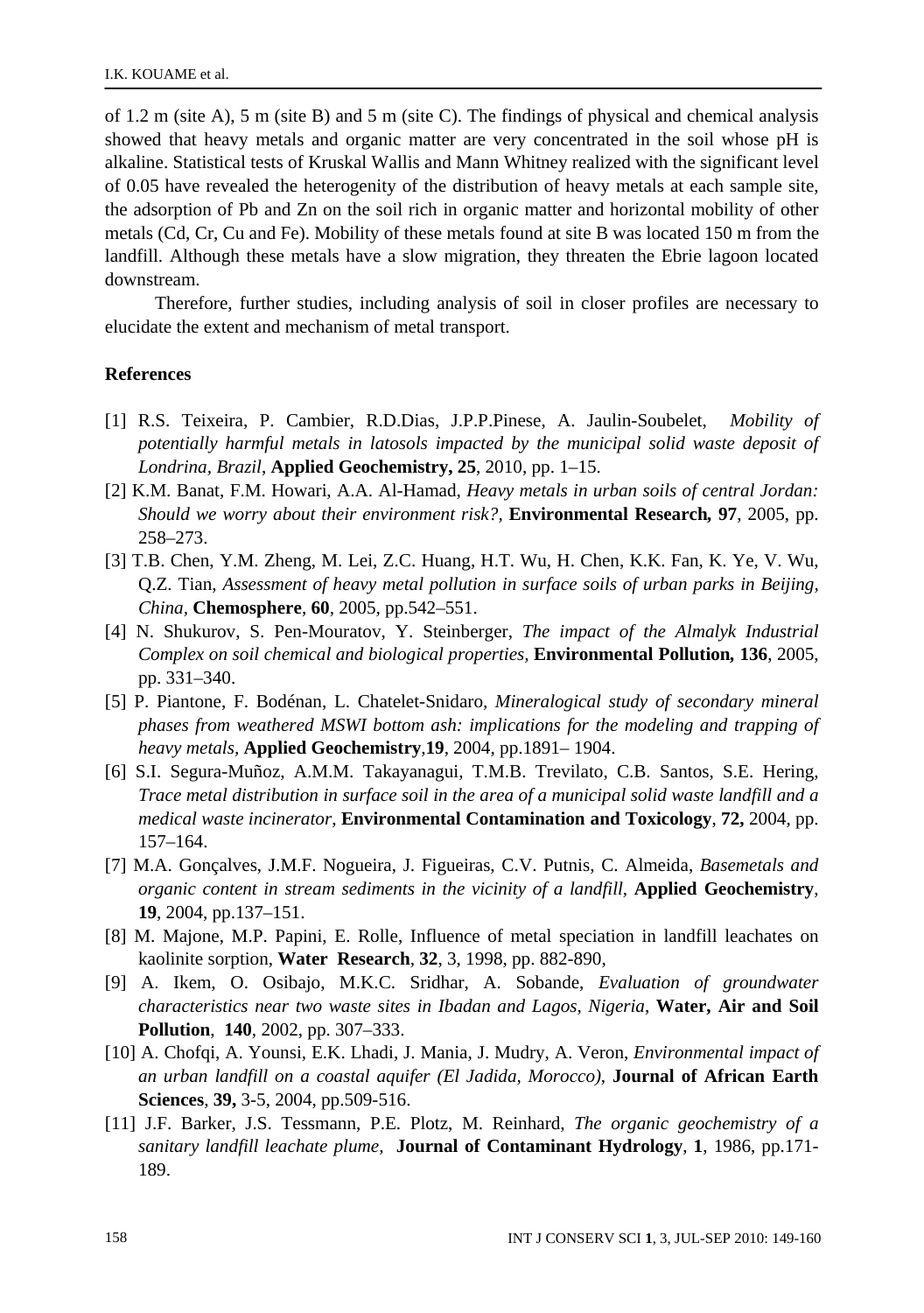of 1.2 m (site A), 5 m (site B) and 5 m (site C). The findings of physical and chemical analysis showed that heavy metals and organic matter are very concentrated in the soil whose pH is alkaline. Statistical tests of Kruskal Wallis and Mann Whitney realized with the significant level of 0.05 have revealed the heterogenity of the distribution of heavy metals at each sample site, the adsorption of Pb and Zn on the soil rich in organic matter and horizontal mobility of other metals (Cd, Cr, Cu and Fe). Mobility of these metals found at site B was located 150 m from the landfill. Although these metals have a slow migration, they threaten the Ebrie lagoon located downstream.

Therefore, further studies, including analysis of soil in closer profiles are necessary to elucidate the extent and mechanism of metal transport.

#### **References**

- [1] R.S. Teixeira, P. Cambier, R.D.Dias, J.P.P.Pinese, A. Jaulin-Soubelet, *Mobility of potentially harmful metals in latosols impacted by the municipal solid waste deposit of Londrina, Brazil*, **Applied Geochemistry, 25**, 2010, pp. 1–15.
- [2] K.M. Banat, F.M. Howari, A.A. Al-Hamad, *Heavy metals in urban soils of central Jordan: Should we worry about their environment risk?,* **Environmental Research***,* **97**, 2005, pp. 258–273.
- [3] T.B. Chen, Y.M. Zheng, M. Lei, Z.C. Huang, H.T. Wu, H. Chen, K.K. Fan, K. Ye, V. Wu, Q.Z. Tian, *Assessment of heavy metal pollution in surface soils of urban parks in Beijing, China,* **Chemosphere**, **60**, 2005, pp.542–551.
- [4] N. Shukurov, S. Pen-Mouratov, Y. Steinberger, *The impact of the Almalyk Industrial Complex on soil chemical and biological properties,* **Environmental Pollution***,* **136**, 2005, pp. 331–340.
- [5] P. Piantone, F. Bodénan, L. Chatelet-Snidaro, *Mineralogical study of secondary mineral phases from weathered MSWI bottom ash: implications for the modeling and trapping of heavy metals,* **Applied Geochemistry**,**19**, 2004, pp.1891– 1904.
- [6] S.I. Segura-Muñoz, A.M.M. Takayanagui, T.M.B. Trevilato, C.B. Santos, S.E. Hering, *Trace metal distribution in surface soil in the area of a municipal solid waste landfill and a medical waste incinerator*, **Environmental Contamination and Toxicology**, **72,** 2004, pp. 157–164.
- [7] M.A. Gonçalves, J.M.F. Nogueira, J. Figueiras, C.V. Putnis, C. Almeida, *Basemetals and organic content in stream sediments in the vicinity of a landfill,* **Applied Geochemistry**, **19**, 2004, pp.137–151.
- [8] M. Majone, M.P. Papini, E. Rolle, Influence of metal speciation in landfill leachates on kaolinite sorption, **Water Research***,* **32**, 3, 1998, pp. 882-890,
- [9] A. Ikem, O. Osibajo, M.K.C. Sridhar, A. Sobande, *Evaluation of groundwater characteristics near two waste sites in Ibadan and Lagos, Nigeria*, **Water, Air and Soil Pollution**, **140**, 2002, pp. 307–333.
- [10] A. Chofqi, A. Younsi, E.K. Lhadi, J. Mania, J. Mudry, A. Veron, *Environmental impact of an urban landfill on a coastal aquifer (El Jadida, Morocco)*, **Journal of African Earth Sciences**, **39,** 3-5, 2004, pp.509-516.
- [11] J.F. Barker, J.S. Tessmann, P.E. Plotz, M. Reinhard, *The organic geochemistry of a sanitary landfill leachate plume,* **Journal of Contaminant Hydrology**, **1**, 1986, pp.171- 189.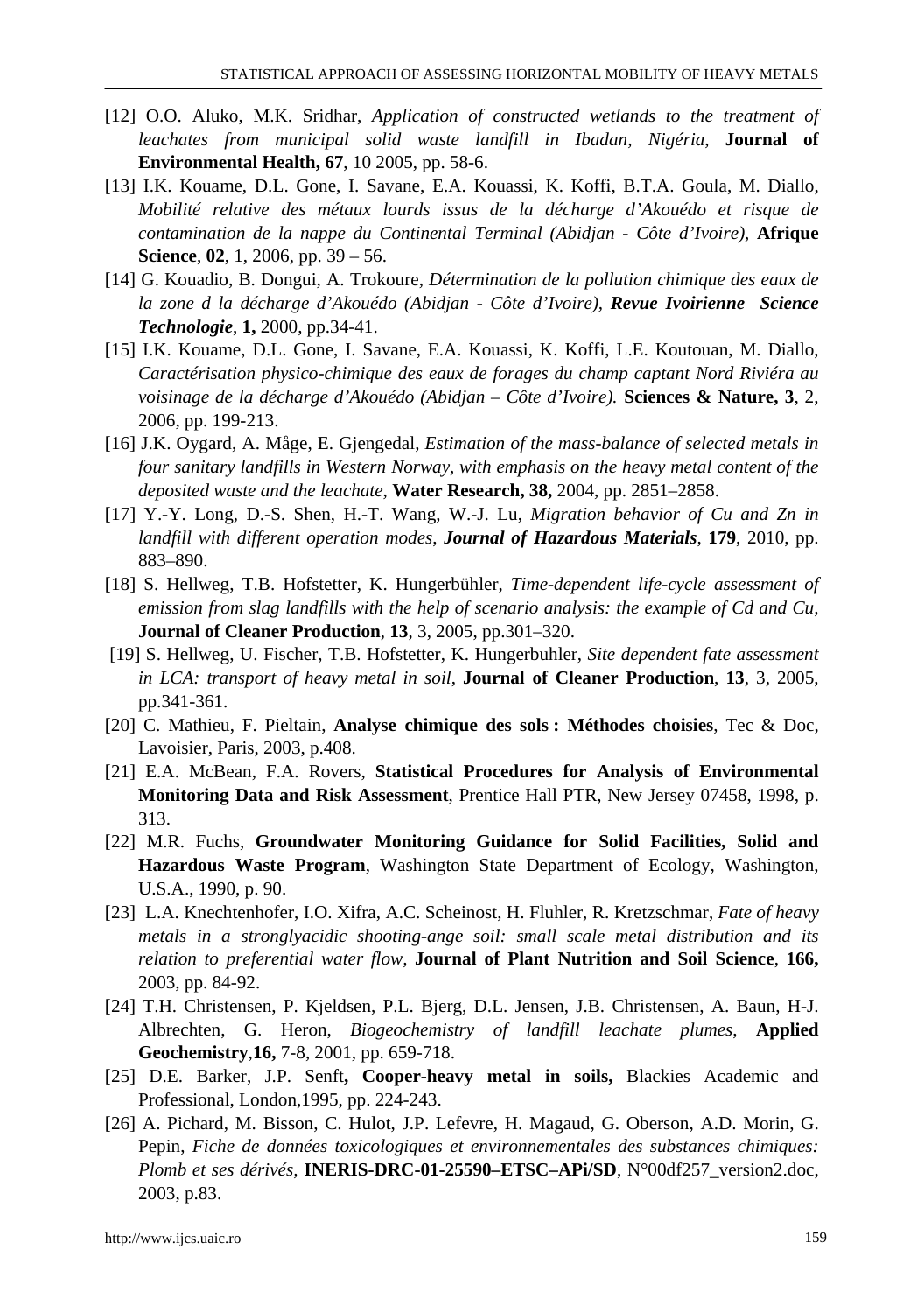- [12] O.O. Aluko, M.K. Sridhar, *Application of constructed wetlands to the treatment of leachates from municipal solid waste landfill in Ibadan, Nigéria*, **Journal of Environmental Health, 67**, 10 2005, pp. 58-6.
- [13] I.K. Kouame, D.L. Gone, I. Savane, E.A. Kouassi, K. Koffi, B.T.A. Goula, M. Diallo, *Mobilité relative des métaux lourds issus de la décharge d'Akouédo et risque de contamination de la nappe du Continental Terminal (Abidjan - Côte d'Ivoire),* **Afrique Science**, **02**, 1, 2006, pp. 39 – 56.
- [14] G. Kouadio, B. Dongui, A. Trokoure, *Détermination de la pollution chimique des eaux de la zone d la décharge d'Akouédo (Abidjan - Côte d'Ivoire), Revue Ivoirienne Science Technologie*, **1,** 2000, pp.34-41.
- [15] I.K. Kouame, D.L. Gone, I. Savane, E.A. Kouassi, K. Koffi, L.E. Koutouan, M. Diallo, *Caractérisation physico-chimique des eaux de forages du champ captant Nord Riviéra au voisinage de la décharge d'Akouédo (Abidjan – Côte d'Ivoire).* **Sciences & Nature, 3**, 2, 2006, pp. 199-213.
- [16] J.K. Oygard, A. Måge, E. Gjengedal, *Estimation of the mass-balance of selected metals in four sanitary landfills in Western Norway, with emphasis on the heavy metal content of the deposited waste and the leachate*, **Water Research, 38,** 2004, pp. 2851–2858.
- [17] Y.-Y. Long, D.-S. Shen, H.-T. Wang, W.-J. Lu, *Migration behavior of Cu and Zn in landfill with different operation modes*, *Journal of Hazardous Materials*, **179**, 2010, pp. 883–890.
- [18] S. Hellweg, T.B. Hofstetter, K. Hungerbühler, *Time-dependent life-cycle assessment of emission from slag landfills with the help of scenario analysis: the example of Cd and Cu,* **Journal of Cleaner Production**, **13**, 3, 2005, pp.301–320.
- [19] S. Hellweg, U. Fischer, T.B. Hofstetter, K. Hungerbuhler, *Site dependent fate assessment in LCA: transport of heavy metal in soil*, **Journal of Cleaner Production**, **13**, 3, 2005, pp.341-361.
- [20] C. Mathieu, F. Pieltain, **Analyse chimique des sols : Méthodes choisies**, Tec & Doc, Lavoisier, Paris, 2003, p.408.
- [21] E.A. McBean, F.A. Rovers, **Statistical Procedures for Analysis of Environmental Monitoring Data and Risk Assessment**, Prentice Hall PTR, New Jersey 07458, 1998, p. 313.
- [22] M.R. Fuchs, **Groundwater Monitoring Guidance for Solid Facilities, Solid and Hazardous Waste Program**, Washington State Department of Ecology, Washington, U.S.A., 1990, p. 90.
- [23] L.A. Knechtenhofer, I.O. Xifra, A.C. Scheinost, H. Fluhler, R. Kretzschmar, *Fate of heavy metals in a stronglyacidic shooting-ange soil: small scale metal distribution and its relation to preferential water flow,* **Journal of Plant Nutrition and Soil Science**, **166,** 2003, pp. 84-92.
- [24] T.H. Christensen, P. Kjeldsen, P.L. Bjerg, D.L. Jensen, J.B. Christensen, A. Baun, H-J. Albrechten, G. Heron, *Biogeochemistry of landfill leachate plumes*, **Applied Geochemistry**,**16,** 7-8, 2001, pp. 659-718.
- [25] D.E. Barker, J.P. Senft**, Cooper-heavy metal in soils,** Blackies Academic and Professional, London,1995, pp. 224-243.
- [26] A. Pichard, M. Bisson, C. Hulot, J.P. Lefevre, H. Magaud, G. Oberson, A.D. Morin, G. Pepin, *Fiche de données toxicologiques et environnementales des substances chimiques: Plomb et ses dérivés,* **INERIS-DRC-01-25590–ETSC–APi/SD**, N°00df257\_version2.doc, 2003, p.83.